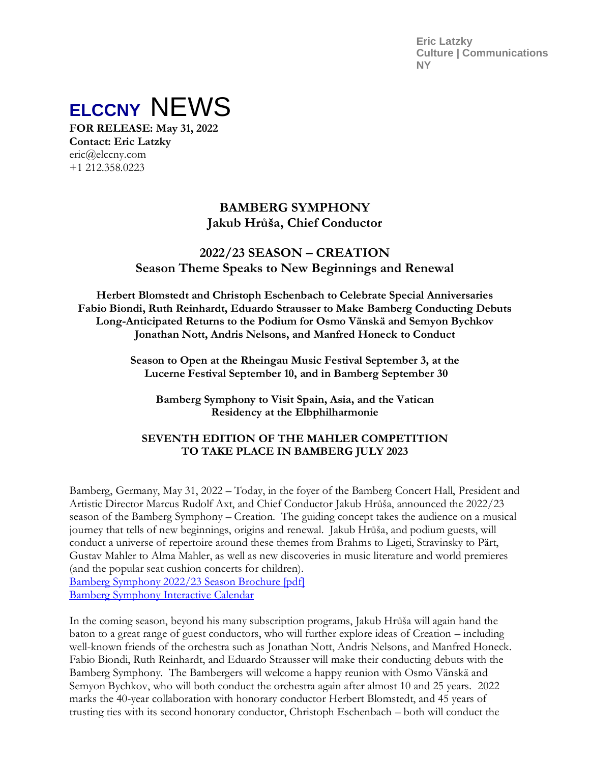**Eric Latzky Culture | Communications NY**



**FOR RELEASE: May 31, 2022 Contact: Eric Latzky** eric@elccny.com +1 212.358.0223

# **BAMBERG SYMPHONY Jakub Hrůša, Chief Conductor**

# **2022/23 SEASON – CREATION Season Theme Speaks to New Beginnings and Renewal**

**Herbert Blomstedt and Christoph Eschenbach to Celebrate Special Anniversaries Fabio Biondi, Ruth Reinhardt, Eduardo Strausser to Make Bamberg Conducting Debuts Long-Anticipated Returns to the Podium for Osmo Vänskä and Semyon Bychkov Jonathan Nott, Andris Nelsons, and Manfred Honeck to Conduct** 

> **Season to Open at the Rheingau Music Festival September 3, at the Lucerne Festival September 10, and in Bamberg September 30**

**Bamberg Symphony to Visit Spain, Asia, and the Vatican Residency at the Elbphilharmonie**

## **SEVENTH EDITION OF THE MAHLER COMPETITION TO TAKE PLACE IN BAMBERG JULY 2023**

Bamberg, Germany, May 31, 2022 – Today, in the foyer of the Bamberg Concert Hall, President and Artistic Director Marcus Rudolf Axt, and Chief Conductor Jakub Hrůša, announced the 2022/23 season of the Bamberg Symphony – Creation. The guiding concept takes the audience on a musical journey that tells of new beginnings, origins and renewal. Jakub Hrůša, and podium guests, will conduct a universe of repertoire around these themes from Brahms to Ligeti, Stravinsky to Pärt, Gustav Mahler to Alma Mahler, as well as new discoveries in music literature and world premieres (and the popular seat cushion concerts for children). [Bamberg Symphony 2022/23 Season Brochure \[pdf\]](https://www.bamberger-symphoniker.de/fileadmin/pdf/Bamberger_Symponiker_Saisonbroschuere_22-23.pdf)

[Bamberg Symphony Interactive Calendar](https://www.bamberger-symphoniker.de/en/programme-tickets/concert-overview.html)

In the coming season, beyond his many subscription programs, Jakub Hrůša will again hand the baton to a great range of guest conductors, who will further explore ideas of Creation – including well-known friends of the orchestra such as Jonathan Nott, Andris Nelsons, and Manfred Honeck. Fabio Biondi, Ruth Reinhardt, and Eduardo Strausser will make their conducting debuts with the Bamberg Symphony. The Bambergers will welcome a happy reunion with Osmo Vänskä and Semyon Bychkov, who will both conduct the orchestra again after almost 10 and 25 years. 2022 marks the 40-year collaboration with honorary conductor Herbert Blomstedt, and 45 years of trusting ties with its second honorary conductor, Christoph Eschenbach – both will conduct the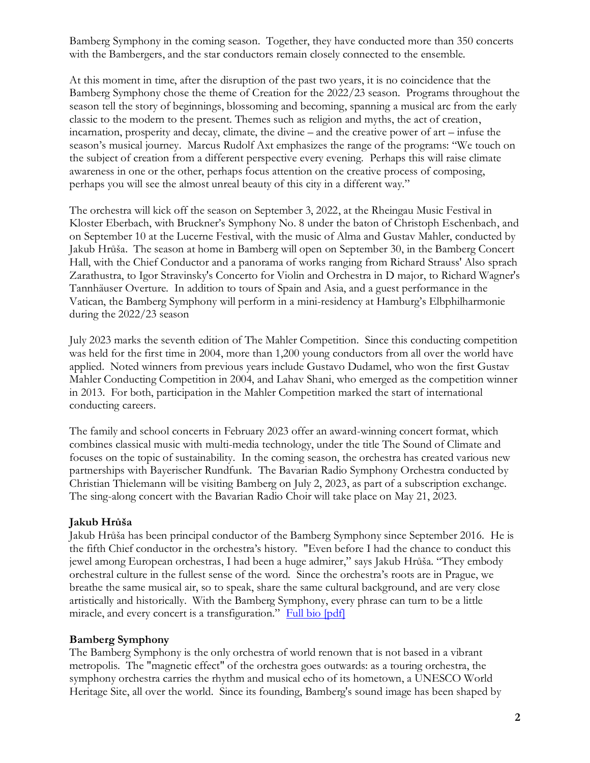Bamberg Symphony in the coming season. Together, they have conducted more than 350 concerts with the Bambergers, and the star conductors remain closely connected to the ensemble.

At this moment in time, after the disruption of the past two years, it is no coincidence that the Bamberg Symphony chose the theme of Creation for the 2022/23 season. Programs throughout the season tell the story of beginnings, blossoming and becoming, spanning a musical arc from the early classic to the modern to the present. Themes such as religion and myths, the act of creation, incarnation, prosperity and decay, climate, the divine – and the creative power of art – infuse the season's musical journey. Marcus Rudolf Axt emphasizes the range of the programs: "We touch on the subject of creation from a different perspective every evening. Perhaps this will raise climate awareness in one or the other, perhaps focus attention on the creative process of composing, perhaps you will see the almost unreal beauty of this city in a different way."

The orchestra will kick off the season on September 3, 2022, at the Rheingau Music Festival in Kloster Eberbach, with Bruckner's Symphony No. 8 under the baton of Christoph Eschenbach, and on September 10 at the Lucerne Festival, with the music of Alma and Gustav Mahler, conducted by Jakub Hrůša. The season at home in Bamberg will open on September 30, in the Bamberg Concert Hall, with the Chief Conductor and a panorama of works ranging from Richard Strauss' Also sprach Zarathustra, to Igor Stravinsky's Concerto for Violin and Orchestra in D major, to Richard Wagner's Tannhäuser Overture. In addition to tours of Spain and Asia, and a guest performance in the Vatican, the Bamberg Symphony will perform in a mini-residency at Hamburg's Elbphilharmonie during the 2022/23 season

July 2023 marks the seventh edition of The Mahler Competition. Since this conducting competition was held for the first time in 2004, more than 1,200 young conductors from all over the world have applied. Noted winners from previous years include Gustavo Dudamel, who won the first Gustav Mahler Conducting Competition in 2004, and Lahav Shani, who emerged as the competition winner in 2013. For both, participation in the Mahler Competition marked the start of international conducting careers.

The family and school concerts in February 2023 offer an award-winning concert format, which combines classical music with multi-media technology, under the title The Sound of Climate and focuses on the topic of sustainability. In the coming season, the orchestra has created various new partnerships with Bayerischer Rundfunk. The Bavarian Radio Symphony Orchestra conducted by Christian Thielemann will be visiting Bamberg on July 2, 2023, as part of a subscription exchange. The sing-along concert with the Bavarian Radio Choir will take place on May 21, 2023.

### **Jakub Hrůša**

Jakub Hrůša has been principal conductor of the Bamberg Symphony since September 2016. He is the fifth Chief conductor in the orchestra's history. "Even before I had the chance to conduct this jewel among European orchestras, I had been a huge admirer," says Jakub Hrůša. "They embody orchestral culture in the fullest sense of the word. Since the orchestra's roots are in Prague, we breathe the same musical air, so to speak, share the same cultural background, and are very close artistically and historically. With the Bamberg Symphony, every phrase can turn to be a little miracle, and every concert is a transfiguration." [Full bio \[pdf\]](https://www.bamberger-symphoniker.de/fileadmin/user_upload/pdfs/00_Biography_Jakub_Hru__s__a_english_2021.pdf)

### **Bamberg Symphony**

The Bamberg Symphony is the only orchestra of world renown that is not based in a vibrant metropolis. The "magnetic effect" of the orchestra goes outwards: as a touring orchestra, the symphony orchestra carries the rhythm and musical echo of its hometown, a UNESCO World Heritage Site, all over the world. Since its founding, Bamberg's sound image has been shaped by